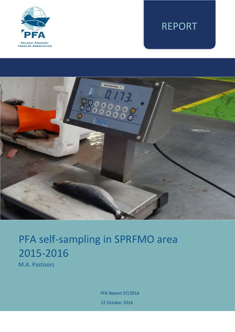

# REPORT



# PFA self-sampling in SPRFMO area 2015-2016

M.A. Pastoors

PFA Report 07/2016 12 October 2016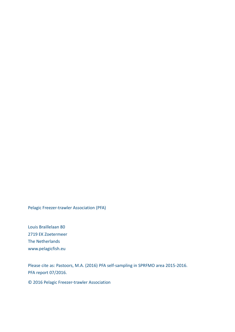Pelagic Freezer-trawler Association (PFA)

Louis Braillelaan 80 2719 EK Zoetermeer The Netherlands www.pelagicfish.eu

Please cite as: Pastoors, M.A. (2016) PFA self-sampling in SPRFMO area 2015-2016. PFA report 07/2016.

© 2016 Pelagic Freezer-trawler Association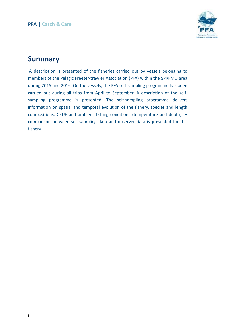

# **Summary**

A description is presented of the fisheries carried out by vessels belonging to members of the Pelagic Freezer-trawler Association (PFA) within the SPRFMO area during 2015 and 2016. On the vessels, the PFA self-sampling programme has been carried out during all trips from April to September. A description of the selfsampling programme is presented. The self-sampling programme delivers information on spatial and temporal evolution of the fishery, species and length compositions, CPUE and ambient fishing conditions (temperature and depth). A comparison between self-sampling data and observer data is presented for this fishery.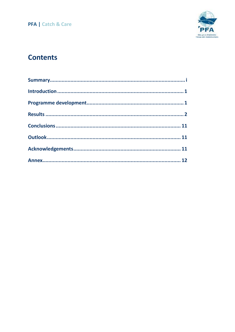

# **Contents**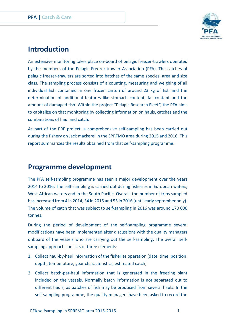

# **Introduction**

An extensive monitoring takes place on-board of pelagic freezer-trawlers operated by the members of the Pelagic Freezer-trawler Association (PFA). The catches of pelagic freezer-trawlers are sorted into batches of the same species, area and size class. The sampling process consists of a counting, measuring and weighing of all individual fish contained in one frozen carton of around 23 kg of fish and the determination of additional features like stomach content, fat content and the amount of damaged fish. Within the project "Pelagic Research Fleet", the PFA aims to capitalize on that monitoring by collecting information on hauls, catches and the combinations of haul and catch.

As part of the PRF project, a comprehensive self-sampling has been carried out during the fishery on Jack mackerel in the SPRFMO area during 2015 and 2016. This report summarizes the results obtained from that self-sampling programme.

# **Programme development**

The PFA self-sampling programme has seen a major development over the years 2014 to 2016. The self-sampling is carried out during fisheries in European waters, West-African waters and in the South Pacific. Overall, the number of trips sampled has increased from 4 in 2014, 34 in 2015 and 55 in 2016 (until early september only). The volume of catch that was subject to self-sampling in 2016 was around 170 000 tonnes.

During the period of development of the self-sampling programme several modifications have been implemented after discussions with the quality managers onboard of the vessels who are carrying out the self-sampling. The overall selfsampling approach consists of three elements:

- 1. Collect haul-by-haul information of the fisheries operation (date, time, position, depth, temperature, gear characteristics, estimated catch)
- 2. Collect batch-per-haul information that is generated in the freezing plant included on the vessels. Normally batch information is not separated out to different hauls, as batches of fish may be produced from several hauls. In the self-sampling programme, the quality managers have been asked to record the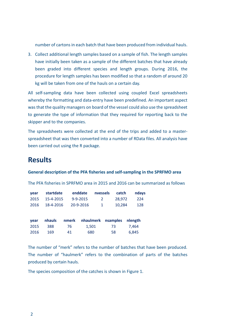number of cartons in each batch that have been produced from individual hauls.

3. Collect additional length samples based on a sample of fish. The length samples have initially been taken as a sample of the different batches that have already been graded into different species and length groups. During 2016, the procedure for length samples has been modified so that a random of around 20 kg will be taken from one of the hauls on a certain day.

All self-sampling data have been collected using coupled Excel spreadsheets whereby the formatting and data-entry have been predefined. An important aspect was that the quality managers on board of the vessel could also use the spreadsheet to generate the type of information that they required for reporting back to the skipper and to the companies.

The spreadsheets were collected at the end of the trips and added to a masterspreadsheet that was then converted into a number of RData files. All analysis have been carried out using the R package.

### **Results**

#### **General description of the PFA fisheries and self-sampling in the SPRFMO area**

The PFA fisheries in SPRFMO area in 2015 and 2016 can be summarized as follows

| <b>vear</b> | startdate | enddate        | nvessels     | catch  | ndays |
|-------------|-----------|----------------|--------------|--------|-------|
| 2015        | 15-4-2015 | $9 - 9 - 2015$ | 2            | 28.972 | -224  |
| 2016        | 18-4-2016 | 20-9-2016      | $\mathbf{1}$ | 10.284 | 128   |

| vear | nhauls |    | nmerk nhaulmerk nsamples nlength |     |       |
|------|--------|----|----------------------------------|-----|-------|
| 2015 | -388   | 76 | 1.501                            | 73  | 7.464 |
| 2016 | 169    | 41 | 680                              | 58. | 6.845 |

The number of "merk" refers to the number of batches that have been produced. The number of "haulmerk" refers to the combination of parts of the batches produced by certain hauls.

The species composition of the catches is shown in Figure 1.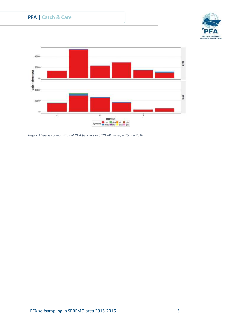



*Figure 1 Species composition of PFA fisheries in SPRFMO area, 2015 and 2016*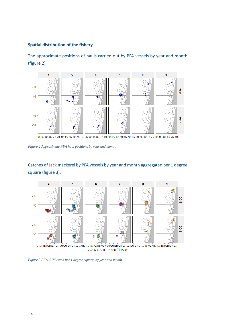#### **Spatial distribution of the fishery**

The approximate positions of hauls carried out by PFA vessels by year and month (figure 2)



-95-90-85-80-75-70-95-90-85-80-75-70-95-90-85-80-75-70-95-90-85-80-75-70-95-90-85-80-75-70-95-90-85-80-75-70

*Figure 2 Approximate PFA haul positions by year and month.* 

#### Catches of Jack mackerel by PFA vessels by year and month aggregated per 1 degree square (figure 3).



catch  $\Box$  500  $\Box$  1000  $\Box$  1500

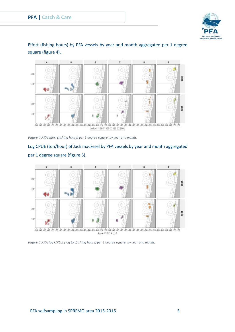

Effort (fishing hours) by PFA vessels by year and month aggregated per 1 degree square (figure 4).



*Figure 4 PFA effort (fishing hours) per 1 degree square, by year and month.*

### Log CPUE (ton/hour) of Jack mackerel by PFA vessels by year and month aggregated per 1 degree square (figure 5).



*Figure 5 PFA log CPUE (log ton/fishing hours) per 1 degree square, by year and month.*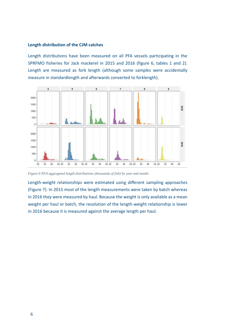#### **Length distribution of the CJM catches**

Length distributions have been measured on all PFA vessels participating in the SPRFMO fisheries for Jack mackerel in 2015 and 2016 (figure 6, tables 1 and 2). Length are measured as fork length (although some samples were accidentally measure in standardlength and afterwards converted to forklength).



*Figure 6 PFA aggregated length distributions (thousands of fish) by year and month.*

Length-weight relationships were estimated using different sampling approaches (Figure 7). In 2015 most of the length measurements were taken by batch whereas in 2016 they were measured by haul. Because the weight is only available as a mean weight per haul or batch, the resolution of the length-weight relationship is lower in 2016 because it is measured against the average length per haul.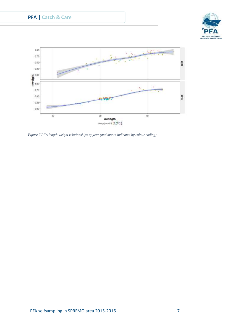





*Figure 7 PFA length-weight relationships by year (and month indicated by colour coding)*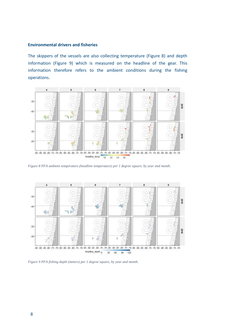#### **Environmental drivers and fisheries**

The skippers of the vessels are also collecting temperature (Figure 8) and depth information (Figure 9) which is measured on the headline of the gear. This information therefore refers to the ambient conditions during the fishing operations.



*Figure 8 PFA ambient temperature (headline temperature) per 1 degree square, by year and month.*



*Figure 9 PFA fishing depth (meters) per 1 degree square, by year and month.*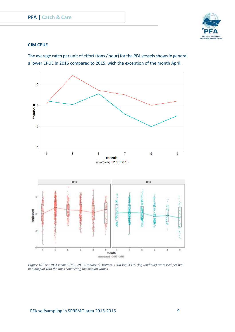

#### **CJM CPUE**

The average catch per unit of effort (tons / hour) for the PFA vessels shows in general a lower CPUE in 2016 compared to 2015, wich the exception of the month April.



*Figure 10 Top: PFA mean CJM CPUE (ton/hour). Bottom: CJM logCPUE (log ton/hour) expressed per haul in a boxplot with the lines connecting the median values.*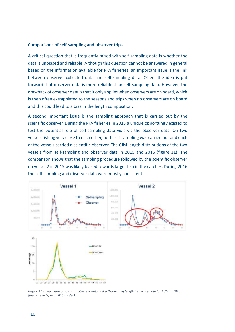#### **Comparisons of self-sampling and observer trips**

A critical question that is frequently raised with self-sampling data is whether the data is unbiased and reliable. Although this question cannot be answered in general based on the information available for PFA fisheries, an important issue is the link between observer collected data and self-sampling data. Often, the idea is put forward that observer data is more reliable than self-sampling data. However, the drawback of observer data is that it only applies when observers are on board, which is then often extrapolated to the seasons and trips when no observers are on board and this could lead to a bias in the length composition.

A second important issue is the sampling approach that is carried out by the scientific observer. During the PFA fisheries in 2015 a unique opportunity existed to test the potential role of self-sampling data vis-a-vis the observer data. On two vessels fishing very close to each other, both self-sampling was carried out and each of the vessels carried a scientific observer. The CJM length distributions of the two vessels from self-sampling and observer data in 2015 and 2016 (figure 11). The comparison shows that the sampling procedure followed by the scientific observer on vessel 2 in 2015 was likely biased towards larger fish in the catches. During 2016 the self-sampling and observer data were mostly consistent.



*Figure 11 comparison of scientific observer data and self-sampling length frequency data for CJM in 2015 (top, 2 vessels) and 2016 (under).*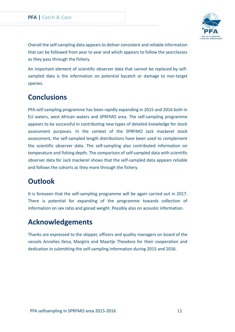

Overall the self-sampling data appears to deliver consistent and reliable information that can be followed from year to year and which appears to follow the yearclasses as they pass through the fishery.

An important element of scientific observer data that cannot be replaced by selfsampled data is the information on potential bycatch or damage to non-target species.

# **Conclusions**

PFA self-sampling programme has been rapidly expanding in 2015 and 2016 both in EU waters, west African waters and SPRFMO area. The self-sampling programme appears to be successful in contributing new types of detailed knowledge for stock assessment purposes. In the context of the SPRFMO Jack mackerel stock assessment, the self-sampled length distributions have been used to complement the scientific observer data. The self-sampling also contributed information on temperature and fishing depth. The comparison of self-sampled data with scientific observer data for Jack mackerel shows that the self-sampled data appears reliable and follows the cohorts as they more through the fishery.

# **Outlook**

It is foreseen that the self-sampling programme will be again carried out in 2017. There is potential for expanding of the programme towards collection of information on sex ratio and gonad weight. Possibly also on acoustic information.

# **Acknowledgements**

Thanks are expressed to the skipper, officers and quality managers on board of the vessels Annelies Ilena, Margiris and Maartje Theodora for their cooperation and dedication in submitting the self-sampling information during 2015 and 2016.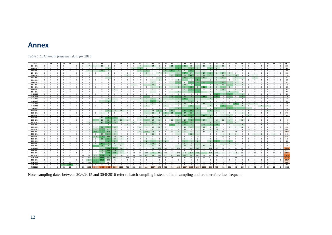## **Annex**

#### *Table 1 CJM length frequency data for 2015*

| Date           | 17             | 18             | 19                      | 20             | 21             | 22           | 23             | 24             | 25                      | 26              | 27                       | 28             | - 29     | 30                      | 31                       | 32                       | 33             | 34                       | 35                       | 36                       | 37                       | 38                       | 39             | 40                       | 41             | 42                      | 43             | 44                       | 45                       | 46             | 47                       | 48             | 49                       | 50             | 51             | 52           | 53           | 54             | (all) |
|----------------|----------------|----------------|-------------------------|----------------|----------------|--------------|----------------|----------------|-------------------------|-----------------|--------------------------|----------------|----------|-------------------------|--------------------------|--------------------------|----------------|--------------------------|--------------------------|--------------------------|--------------------------|--------------------------|----------------|--------------------------|----------------|-------------------------|----------------|--------------------------|--------------------------|----------------|--------------------------|----------------|--------------------------|----------------|----------------|--------------|--------------|----------------|-------|
| 16-4-201       | $\mathbf{0}$   | $\Omega$       | $\Omega$                | $\Omega$       | $\Omega$       | $\Omega$     | $\overline{a}$ |                | 10                      | 10              |                          | $\Omega$       |          | $\Omega$                | $\Omega$                 | $\alpha$                 | 21             | 14                       | 5                        | $\Omega$                 | 21                       | 49                       | 33             | 11                       | 17             | 10 <sup>1</sup>         | 10             | 13                       | 10                       | $\Omega$       | $\Omega$                 |                | $\Omega$                 | $\Omega$       | $\Omega$       | $\Omega$     |              | $\Omega$       | 259   |
| 17-4-2015      | $\overline{0}$ | $\overline{0}$ | $^{\circ}$              | $\mathbf{0}$   | $\overline{0}$ | $^{\circ}$   | $\overline{0}$ | $\mathbf{0}$   | $^{\circ}$              | $\mathbf{0}$    | -3                       | $\mathbf{0}$   | $\Omega$ | $\mathbf{0}$            | $\overline{\phantom{a}}$ |                          | $\mathbf{0}$   | $\Omega$                 | $\overline{2}$           | $\overline{\phantom{a}}$ | $\mathbf{a}$             |                          |                | -6                       | $\overline{3}$ | $^{\circ}$              |                |                          | $\overline{0}$           | $\Omega$       | $\mathbf{0}$             | $\mathbf{0}$   | $^{\circ}$               | $\overline{0}$ | $^{\circ}$     | $\mathbf{0}$ | $\mathbf{0}$ | $\overline{0}$ | 41    |
| 18-4-2015      | $\mathbf{0}$   | $\overline{0}$ | $^{\circ}$              | $\Omega$       | $^{\circ}$     | $^{\circ}$   | $^{\circ}$     | 10             | 14                      | 27              | 10                       | $^{\circ}$     | $\Omega$ | $\Omega$                | $\mathbf{0}$             | 20                       | 29             |                          | $^{\circ}$               | 25                       | 42                       | 29                       | $\mathbf{Q}$   | 43                       | 12             | $\mathbf{q}$            | $\overline{a}$ | $\mathbf{A}$             | $\overline{4}$           | $\Omega$       | $\mathbf{1}$             | $\Omega$       | $\Omega$                 | $^{\circ}$     | $\overline{0}$ | $^{\circ}$   | $\Omega$     | $\mathbf{0}$   | 296   |
| 19-4-2015      | $\mathbf{0}$   | $\overline{0}$ | $^{\circ}$              | $\Omega$       | $\mathbf{0}$   | $\Omega$     | $\Omega$       | $\Omega$       | $\Omega$                | $\mathbf{0}$    | $\Omega$                 | $\Omega$       | $\Omega$ | $^{\circ}$              | $^{\circ}$               | $\Omega$                 | $\overline{7}$ | $\Omega$                 |                          | $\overline{7}$           |                          | 14                       | 27             | 14                       | 14             | 14                      | 20             |                          | 14                       | $\overline{7}$ | $\Omega$                 | $\Omega$       | $\Omega$                 | $\bf{0}$       | $\Omega$       | $\mathbf{0}$ | $\Omega$     | $\mathbf{0}$   | 156   |
| 20-4-2015      | $\mathbf{0}$   | $\Omega$       | $^{\circ}$              | $\Omega$       | $\mathbf{0}$   | $\Omega$     | $\Omega$       | $\Omega$       | $\Omega$                | $\mathbf{0}$    |                          | $\Omega$       | $\Omega$ | 7                       | $^{\circ}$               | $\Omega$                 | 11             |                          | $^{\circ}$               | $^{\circ}$               | 16                       | 49                       | 21             | 44                       | 14             | 21                      | 29             |                          | 12                       | 14             | 20                       | $\Omega$       | $\overline{a}$           | $\overline{7}$ | $\Omega$       | $\mathbf{0}$ |              | $\mathbf{0}$   | 290   |
| 21-4-2015      | $^{\circ}$     | $\overline{0}$ | $^{\circ}$              | $\Omega$       | $\mathbf{0}$   | $\Omega$     | $\Omega$       | $\Omega$       | $\Omega$                | $\Omega$        | 5                        | $\Omega$       |          | $^{\circ}$              | $^{\circ}$               | $\Omega$                 | $\Omega$       |                          | -5                       | $\Omega$                 | $\Omega$                 | $\Omega$                 | 14             | 10                       | 19             | 10                      | -5             |                          | 10                       | $\Omega$       | $5\overline{2}$          |                | $\Omega$                 | -5             | $\Omega$       | $^{\circ}$   | $\Omega$     | $\mathbf{0}$   | 96    |
| 22-4-2015      | $\mathbf{0}$   | $\overline{0}$ | $^{\circ}$              | $\Omega$       | $\Omega$       | $\Omega$     | $\Omega$       | $\Omega$       | $\Omega$                | $\Omega$        | $\Omega$                 | $\mathbf{0}$   | $\Omega$ | $\Omega$                | $\Omega$                 | $\Omega$                 | $^{\circ}$     | $\mathbf{1}$             | $\overline{1}$           | $\Omega$                 | $\Omega$                 | $\overline{2}$           |                | $\overline{1}$           | -6             |                         | $\overline{1}$ |                          | 1                        | $\Omega$       |                          | $\Omega$       | $\Omega$                 | $\overline{0}$ | $\Omega$       | $\Omega$     | $\Omega$     | $\Omega$       | 18    |
| 23-4-2015      | $\mathbf{0}$   | $\overline{0}$ | $^{\circ}$              | $\overline{0}$ | $\mathbf{0}$   | $\mathbf{0}$ | $\Omega$       | $\mathbf{0}$   | $\Omega$                | $\mathbf{0}$    | $\Omega$                 | $\overline{0}$ | $\Omega$ | $\mathbf{0}$            | $^{\circ}$               | $\Omega$                 | $\Omega$       |                          | $^{\circ}$               | $\Omega$                 |                          | 28                       | $\overline{a}$ | 33                       | 30             | 30 <sub>1</sub>         | 32             | 21                       | 26                       | 15             | $\mathbf{R}$             |                | $\Omega$                 | $\overline{0}$ | $\Omega$       | $\mathbf{0}$ | $\Omega$     | $\mathbf{0}$   | 247   |
| 24-4-2015      | $^{\circ}$     | $\overline{0}$ | $\Omega$                | $\Omega$       | $\mathbf{0}$   | $\Omega$     | $\Omega$       | $\Omega$       | $\Omega$                | $\mathbf{0}$    | $\Omega$                 | $\Omega$       |          | $\Omega$                | $\overline{7}$           | $\Omega$                 | 15             | 18                       | $^{\circ}$               |                          |                          | $\mathbf{q}$             | 20             | $\mathbf{q}$             | 43             | $\overline{\mathbf{3}}$ | $^{\circ}$     | 12                       | 13                       | 27             | $\mathbf{R}$             | $\overline{7}$ |                          | $\overline{1}$ | $\Omega$       | $\Omega$     | $\Omega$     | $\mathbf{0}$   | 210   |
| 26-4-2015      | $\mathbf{0}$   | $\overline{0}$ | $^{\circ}$              | $^{\circ}$     | $\mathbf{0}$   | $\Omega$     | $\mathbf{0}$   | $\Omega$       | $^{\circ}$              | $\mathbf{0}$    | $\Omega$                 | $\overline{0}$ | $\Omega$ | $\mathbf{0}$            | $\mathbf{0}$             | $^{\circ}$               | $\Omega$       |                          | $\overline{\mathbf{3}}$  | $\Omega$                 | $\mathbf{a}$             |                          |                | 11                       | $\overline{a}$ | 11                      | $\mathbf{R}$   |                          |                          | $\overline{a}$ | $\Omega$                 | $\Omega$       | $\Omega$                 | $\overline{0}$ | $^{\circ}$     | $\mathbf{0}$ | $\Omega$     | $\mathbf{0}$   | 60    |
| 27-4-2015      | $^{\circ}$     | $\overline{0}$ | $^{\circ}$              | $^{\circ}$     | $^{\circ}$     | $\Omega$     | $^{\circ}$     | $\Omega$       | $^{\circ}$              | $\mathbf{0}$    | $\Omega$                 | $\overline{4}$ | $\Omega$ | $^{\circ}$              | $\mathbf{0}$             | $\Omega$                 | $^{\circ}$     | $\overline{a}$           | $^{\circ}$               | $\Omega$                 | $\mathbf{0}$             | $^{\circ}$               | $\mathbf{q}$   | 27                       | 31             | $^{\circ}$              | $\Omega$       | $\overline{a}$           | 13                       | $\Omega$       | $\overline{a}$           | $\overline{4}$ | $\Omega$                 | $\overline{0}$ | $^{\circ}$     | $\mathbf{0}$ | $\Omega$     | $\mathbf{0}$   | 103   |
| 28-4-2015      | $^{\circ}$     | $\overline{0}$ | $^{\circ}$              | $^{\circ}$     | $\mathbf{0}$   | $\circ$      | $^{\circ}$     | $\mathbf{0}$   | $^{\circ}$              | $\mathbf{0}$    | $\Omega$                 | $\overline{0}$ | $\Omega$ | $\mathbf{0}$            | $^{\circ}$               | $^{\circ}$               | $\mathbf{0}$   | $\overline{\phantom{a}}$ | $^{\circ}$               | $\Omega$                 | $\overline{2}$           |                          |                | 6                        | 10             | $\overline{A}$          | $\overline{2}$ | $\overline{2}$           | 2                        | $\overline{a}$ | $\overline{A}$           | $\mathbf{0}$   | $^{\circ}$               | $\overline{0}$ | $\Omega$       | $\mathbf{0}$ | $^{\circ}$   | $\mathbf{0}$   | 47    |
| 3-5-2015       | $\mathbf{0}$   | $\overline{0}$ | $\Omega$                | $\Omega$       | $\overline{0}$ | $\Omega$     | $\Omega$       | $\Omega$       | $\Omega$                | $\mathbf{0}$    | $\Omega$                 | $\Omega$       |          | $^{\circ}$              | $\mathbf{0}$             | $\Omega$                 | $\Omega$       |                          | $^{\circ}$               | $\Omega$                 | $\mathbf{0}$             | $\Omega$                 | $\Omega$       | $^{\circ}$               | $\Omega$       | $^{\circ}$              | $\mathbf{0}$   | 10                       | 6                        | 10             | $\Lambda$                |                | $\Omega$                 | $\overline{0}$ | $\Omega$       | $\mathbf{0}$ | $\Omega$     | $\mathbf{0}$   | 34    |
| 4-5-2015       | $\mathbf{0}$   | $\mathbf{0}$   | $^{\circ}$              | $\Omega$       | $\mathbf{0}$   | $\Omega$     | $\Omega$       | $\Omega$       | $^{\circ}$              | $\mathbf{0}$    | $\Omega$                 | $\mathbf{0}$   | $\Omega$ | $\mathbf{0}$            | $\mathbf{0}$             | $\Omega$                 | 25             |                          | $^{\circ}$               | 13                       | 25                       | 38                       | 25             | 25                       | 25             | 38                      | 13             | 38                       | $\mathbf{0}$             | 25             | $^{\circ}$               | 25             | $\Omega$                 | $\overline{0}$ | $\Omega$       | $^{\circ}$   | $\Omega$     | $\mathbf{0}$   | 316   |
| $5 - 5 - 2015$ | $\mathbf{0}$   | $\overline{0}$ | $^{\circ}$              | $\Omega$       | $\overline{0}$ | $\Omega$     | $^{\circ}$     | $\mathbf{0}$   | $^{\circ}$              | $\mathbf{0}$    | $\overline{\phantom{a}}$ | 2              | $\Omega$ | $\mathbf{0}$            | 2                        | $\overline{\phantom{a}}$ | $\mathbf{R}$   |                          | $\overline{2}$           | $\overline{3}$           | $\overline{a}$           |                          | 11             | -6                       | $\overline{3}$ | -3                      | $\overline{a}$ |                          | $^{\circ}$               | $\overline{1}$ |                          | $\Omega$       | $\Omega$                 | $\overline{0}$ | $^{\circ}$     | $\mathbf{0}$ | $\Omega$     | $\mathbf{0}$   | 60    |
| 6-5-2015       | $\mathbf{0}$   | $\overline{0}$ | $^{\circ}$              | $^{\circ}$     | $\mathbf{0}$   | $^{\circ}$   | $\Omega$       | $\Omega$       | $^{\circ}$              | $\overline{3}$  |                          |                | $\Omega$ | $\mathbf{0}$            | $^{\circ}$               |                          |                |                          |                          | $\overline{1}$           |                          |                          |                |                          | $\overline{1}$ |                         | $\mathbf{0}$   | $\Omega$                 | $\overline{0}$           | $\Omega$       | $\Omega$                 | $\Omega$       | $\Omega$                 | $\overline{0}$ | $\Omega$       | $\mathbf{0}$ | $\Omega$     | $\mathbf{0}$   | 39    |
| 7-5-2015       | $^{\circ}$     | $\overline{0}$ | $^{\circ}$              | $\Omega$       | $\mathbf{0}$   | $\Omega$     | $\Omega$       | $\Omega$       | $^{\circ}$              | $\mathbf{0}$    | $\Omega$                 | $\Omega$       | $\Omega$ | $\mathbf{0}$            | $^{\circ}$               | $\Omega$                 | $\mathbf{R}$   | 10                       | $\Omega$                 |                          |                          | 14                       | 13             | 6                        | $\mathbf{3}$   | 13                      | 13             |                          | 20                       | $\overline{7}$ | 47                       | $\mathbf{q}$   | 10                       | 10             | $\Omega$       | $^{\circ}$   | $\Omega$     | $\mathbf{0}$   | 196   |
| 8-5-2015       | $\mathbf{0}$   | $\overline{0}$ | $^{\circ}$              | $^{\circ}$     | $\mathbf{0}$   | $\Omega$     | $^{\circ}$     | $\Omega$       | $^{\circ}$              | $\mathbf{0}$    | $\Omega$                 | $\overline{0}$ | $\Omega$ | $\mathbf{0}$            | $\mathbf{0}$             | $\Omega$                 |                |                          | $\Omega$                 |                          | $\Omega$                 | $\Omega$                 |                | 21                       | 14             | $^{\circ}$              | $\overline{7}$ | $\Omega$                 | 28                       | 21             |                          |                | $\Omega$                 | $\overline{0}$ |                |              | $\Omega$     | $\mathbf{0}$   | 138   |
| $9 - 5 - 2015$ | $^{\circ}$     | $\Omega$       | $\Omega$                | $\Omega$       | $\Omega$       | $^{\circ}$   | $\Omega$       | $\Omega$       | $\Omega$                | $\Omega$        | $\Omega$                 | $\Omega$       | $\Omega$ | $\mathbf{0}$            | $\Omega$                 | $\Omega$                 | $\Omega$       | $\Omega$                 | $^{\circ}$               | $\Omega$                 |                          |                          |                |                          |                |                         | $\Omega$       |                          |                          |                |                          |                |                          | $\Omega$       | $\Omega$       | $\Omega$     |              | $\Omega$       | 25    |
| 10-5-2015      | $^{\circ}$     | $\overline{0}$ | $^{\circ}$              | $^{\circ}$     | $\mathbf{0}$   | $^{\circ}$   | $^{\circ}$     | $\mathbf{0}$   | $^{\circ}$              | 6               | 34                       | 16             | 13       | 7                       | $\mathbf{0}$             | $^{\circ}$               | 21             | 12                       | 41                       | 8                        | 37                       | 15                       | 54             | 58                       | 29             | $\mathbf{a}$            | 36             | 17                       | -8                       | $\mathbf{0}$   | 6                        | -3             | $\mathbf{3}$             | $\overline{0}$ | $\Omega$       | 8            | $^{\circ}$   | $\mathbf{0}$   | 435   |
| 11-5-2015      | $\mathbf{0}$   | $\overline{0}$ | $\Omega$                | $\Omega$       | $\mathbf{0}$   | $\Omega$     | $\Omega$       | $\Omega$       | $\Omega$                | 8               | $\mathbf{a}$             | $\mathbf{0}$   |          | $^{\circ}$              | $\mathbf{0}$             | $\Omega$                 | 15             | 15                       | 8                        | 29                       | 21                       | $\overline{AB}$          | 27             | 33                       | 26             | $\mathbf{q}$            | 14             |                          | -6                       | $\mathbf{a}$   | $\mathbf{a}$             |                | $\Omega$                 | $\overline{0}$ | $\mathbf{0}$   | $^{\circ}$   | $\Omega$     | $\mathbf{0}$   | 277   |
| 13-5-2015      | $\mathbf{0}$   | $\overline{0}$ | $^{\circ}$              | $\Omega$       | $\mathbf{0}$   | $\Omega$     | $\Omega$       | $\Omega$       | $^{\circ}$              | $\mathbf{0}$    | $\Omega$                 | $\mathbf{0}$   | $\Omega$ | $\mathbf{0}$            | $^{\circ}$               | $\Omega$                 | $\overline{2}$ | $\Omega$                 | 2                        | $\overline{a}$           | $\Omega$                 |                          | 13             | 19                       | 11             | 13                      | $\mathbf{q}$   | $\overline{\phantom{a}}$ | $\overline{4}$           | 6              | $\Omega$                 | $\Omega$       | $\overline{a}$           | $\overline{0}$ | $\Omega$       | $\Omega$     | $\Omega$     | $\mathbf{0}$   | 97    |
| 15-5-2015      | $\mathbf{0}$   | $\overline{0}$ | $^{\circ}$              | $\Omega$       | $\mathbf{0}$   | $\Omega$     | $^{\circ}$     | $\Omega$       | $^{\circ}$              | 10              |                          | 28             | -6       | 2                       | $^{\circ}$               |                          | -6             | 12                       | 10                       | $\overline{7}$           | $\overline{a}$           | -6                       | $\overline{7}$ | 18                       | 15             | -6                      | 14             | $\overline{\phantom{a}}$ | $\overline{7}$           | $\overline{7}$ | $^{\circ}$               | $\Omega$       | $\Omega$                 | $\overline{0}$ | $^{\circ}$     | $\mathbf{0}$ | $\Omega$     | $\mathbf{0}$   | 212   |
| 16-5-2015      | $\mathbf{0}$   | $\overline{0}$ | $^{\circ}$              | $^{\circ}$     | $\mathbf{0}$   | $\mathbf{0}$ | $\overline{0}$ | $\mathbf{0}$   | 34                      | 16              | 30 <sup>2</sup>          | 23             | 18       | 12                      | $^{\circ}$               | $\mathbf{q}$             | 33             | 14                       | 16                       | $\mathbf{0}$             | 12                       | 29                       | 19             | 45                       | 47             | 24                      | 14             | 10                       | 11                       | 16             | $^{\circ}$               | 10             | $\overline{\phantom{a}}$ | $\overline{0}$ | $\mathbf{0}$   | $\mathbf{0}$ | $\Omega$     | $\mathbf{0}$   | 441   |
| 18-5-2015      | $^{\circ}$     | $\Omega$       | $^{\circ}$              | $\Omega$       | $\mathbf{0}$   | $\Omega$     | $\Omega$       |                | -6                      | 12              | 24                       | 14             |          | $^{\circ}$              | $\Lambda$                | $\Omega$                 | -8             | 12                       | 6                        | $\overline{\phantom{a}}$ | $\Omega$                 | 14                       | 26             | 18                       | 10             | -6                      |                | 12                       | $\overline{2}$           | 12             | $\Lambda$                | 2              | $\Omega$                 | $^{\circ}$     | $\Omega$       | $^{\circ}$   | $\Omega$     | $\mathbf{0}$   | 212   |
| 19-5-2015      | $\mathbf{0}$   | $\Omega$       | $\Omega$                | $\Omega$       | $\Omega$       | $\Omega$     | $\Omega$       | $\Omega$       | $\Omega$                | $\overline{a}$  | $\Omega$                 | $\Omega$       | $\Omega$ | 7                       | $\Omega$                 | $\Omega$                 | 14             | $\mathbf{Q}$             | $\mathbf{q}$             | $\Omega$                 | 38.                      | - q                      | 21             | 20                       | $\overline{2}$ | 23                      | 25             | 29                       | $\Omega$                 | $\overline{2}$ |                          | $\mathbf{q}$   | $\Omega$                 | $\Omega$       | $\overline{2}$ | $\Omega$     | $\Omega$     | $\Omega$       | 230   |
| 20-5-2015      | $\overline{0}$ | $\Omega$       | $\Omega$                | $\Omega$       | $\mathbf{0}$   | $^{\circ}$   | $\Omega$       | $\Omega$       | 14                      | 72              | 95                       | 44             | $\Omega$ | $\mathbf{0}$            | $\Omega$                 | 14                       | 14             | 12                       | 20                       | $\overline{7}$           | $\overline{\phantom{a}}$ | 17                       | 15             | 44                       | 26             | 22                      | $\Omega$       | 12                       | $\overline{0}$           | $\overline{7}$ | $\overline{\phantom{a}}$ | 12             | $\Omega$                 | $\overline{0}$ | $\Omega$       | $\Omega$     | $\Omega$     | $\Omega$       | 456   |
| 21-5-2015      | $^{\circ}$     | $\overline{0}$ | $^{\circ}$              | $^{\circ}$     | $\mathbf{0}$   | $\circ$      | $^{\circ}$     | $\mathbf{q}$   | 64                      | 132             | 63                       | 24             | $\Omega$ | $\mathbf{0}$            | $^{\circ}$               | 9                        | 9              | 20                       | 21                       | 10                       | $\mathbf{0}$             | 10                       | 18             | - 5                      | 15             | 10                      | 16             | 16                       | $\mathbf{0}$             | $\mathbf{0}$   | -5                       | $\mathbf{0}$   | 10                       | $\overline{0}$ | $^{\circ}$     | $\mathbf{0}$ | $^{\circ}$   | $\mathbf{0}$   | 466   |
| 22-5-2015      | $\mathbf{0}$   | $\overline{0}$ | $\Omega$                | $\Omega$       | $\Omega$       | $\Omega$     | $\Omega$       |                | 189                     | 221             | 167                      | 68             |          | $\Omega$                | $^{\circ}$               | 42                       | 127            | 51                       | 8                        | $^{\circ}$               | 27                       | 49                       | 56             | 43                       | 36             | 11                      | 22             | 25                       | 18                       | 14             | 14                       | $\Omega$       | $\Omega$                 | $\overline{0}$ | $\Omega$       | $\Omega$     | $\Omega$     | $\Omega$       | 1202  |
| 23-5-2015      | $\mathbf{0}$   | $\Omega$       | $^{\circ}$              | $\Omega$       | $\mathbf{0}$   | $\Omega$     | $\Omega$       |                | $^{\circ}$              | 24              | 64                       | 24             | $\Omega$ | $\mathbf{0}$            | $^{\circ}$               | $\Omega$                 | $\Omega$       | 16                       | $^{\circ}$               | $\Omega$                 | $\mathbf{0}$             | 16                       | $\Omega$       | 32                       | 16             | $\Omega$                | $\Omega$       | $\Omega$                 | $\mathbf{R}$             | $\mathbf{R}$   | $\mathbf{R}$             | $\Omega$       | $\Omega$                 | 8              | $\mathbf{R}$   | $\Omega$     |              | $\mathbf{0}$   | 241   |
| 24-5-2015      | $\mathbf{0}$   | $\mathbf{0}$   | $^{\circ}$              | $\mathbf{0}$   | $\mathbf{0}$   | $^{\circ}$   | $^{\circ}$     | -6             | 104                     | 214             | 154                      | 49             | 25       | - 6                     | $\mathbf{0}$             | 10                       | 29             | -6                       | 12                       | 12                       | 8                        | 8                        | -6             | $\overline{4}$           | 10             | $\boldsymbol{A}$        | $\mathbf{0}$   | $\Omega$                 | 12                       | 8              | $^{\circ}$               | $\mathbf{0}$   | $\Omega$                 | $\overline{0}$ | $\Omega$       | $\mathbf{0}$ | $^{\circ}$   | $\mathbf{0}$   | 689   |
| 25-5-2015      | $\mathbf{0}$   | $\overline{0}$ | $^{\circ}$              | $^{\circ}$     | $\overline{0}$ | $^{\circ}$   | $^{\circ}$     | $\Omega$       | $\overline{\mathbf{3}}$ | 33              | 51                       | 20             |          | $\overline{\mathbf{3}}$ | $\overline{0}$           | $^{\circ}$               | $\mathbf{R}$   |                          | $^{\circ}$               | $\overline{\mathbf{3}}$  | $\mathbf{a}$             | $\Omega$                 |                | $\overline{\mathbf{3}}$  | $\overline{3}$ | $^{\circ}$              | $\mathbf{3}$   |                          | $\overline{0}$           | $\mathbf{0}$   | $^{\circ}$               | $\mathbf{0}$   | $^{\circ}$               | $\overline{0}$ | $\mathbf{0}$   | $\mathbf{0}$ | $\Omega$     | $\overline{0}$ | 148   |
| 26-5-2015      | $\Omega$       | $\Omega$       | $\Omega$                | $\Omega$       | $\Omega$       | $\Omega$     | $\Omega$       |                | $\Omega$                | $\overline{2}$  |                          |                |          | $\Omega$                | $\Omega$                 | $\Omega$                 |                |                          | $\overline{\phantom{a}}$ |                          | $\Omega$                 | $\Omega$                 |                | $\overline{\phantom{a}}$ |                | $\Omega$                |                |                          | $\overline{\phantom{a}}$ |                | $\Omega$                 | $\Omega$       | $\Omega$                 | $\Omega$       | $\Omega$       | $\Omega$     | $\Omega$     | $\Omega$       | 36    |
| 27-5-2015      | $\mathbf{0}$   | $\overline{0}$ | $\Omega$                | $\Omega$       | $\Omega$       | $\Omega$     | $\Omega$       | $\Omega$       | 5                       | 30 <sub>1</sub> | 24                       | -6             |          | $\Omega$                | $\Omega$                 | $\overline{A}$           | $\overline{5}$ | 14                       | $5^{\circ}$              | $\overline{1}$           |                          | $\overline{\phantom{a}}$ |                | 6                        | 12             | 5                       | $\overline{a}$ | $\Omega$                 | $\overline{7}$           | $\overline{a}$ | $\boldsymbol{A}$         | $\Omega$       | $\Omega$                 | $\overline{0}$ | $^{\circ}$     | $\Omega$     | $\Omega$     | $\Omega$       | 153   |
| 31-5-2015      | $\overline{0}$ | $\overline{0}$ | $^{\circ}$              | $\Omega$       | $\overline{0}$ | $^{\circ}$   | $\Omega$       | $\Omega$       | 96                      | 64              | 38                       | 17             | 10       | $\mathbf{0}$            | $\overline{0}$           | -8                       | 13             | 19                       | 10                       | $^{\circ}$               | $\overline{a}$           | 23                       | 19             | 15                       | 24             | 17                      | 18             | 11                       | $\overline{0}$           | 6              | $\Omega$                 | -6             | -6                       | $\overline{0}$ | $\Omega$       | $\Omega$     | $\Omega$     | $\overline{0}$ | 425   |
| $8 - 6 - 2015$ | $^{\circ}$     | $\overline{0}$ | $^{\circ}$              | $\mathbf{0}$   | $\mathbf{0}$   | $^{\circ}$   | $^{\circ}$     | $\mathbf{0}$   | 57                      | 699             | 1624                     | 1265           | 348      | 82                      | 21                       | 15                       | 52             | 340                      | 366                      | 148                      | 150                      | 263                      | 145            | 341                      | 516            | 253                     | 196            | 165                      | 61                       | 40             | 61                       | 40             | 20                       | $\overline{0}$ | $\mathbf{0}$   | 40           | $\Omega$     | $\mathbf{0}$   | 7310  |
| 14-6-2015      | $\mathbf{0}$   | $\overline{0}$ | $^{\circ}$              | $\Omega$       | $\Omega$       | $\Omega$     | $\Omega$       | $\Omega$       | $\Omega$                | 240             | 382                      | 218            | 131      | $^{\circ}$              | $^{\circ}$               | $\Omega$                 | $\Omega$       | $\Omega$                 | $^{\circ}$               | $\Omega$                 | $\Omega$                 | $\Omega$                 | $\Omega$       | $^{\circ}$               | $\Omega$       | $\Omega$                | $\Omega$       | $\Omega$                 | $\Omega$                 | $\Omega$       | $\Omega$                 | $\Omega$       | $\Omega$                 | $\overline{0}$ | $\Omega$       | $\Omega$     | $\Omega$     | $\mathbf{0}$   | 971   |
| 20-6-2015      | $\Omega$       |                | -9                      | $\Omega$       | $\Omega$       |              |                |                | 20                      | 285             | 1005                     | 695            | 256      | 79                      | 14                       | 32                       | 212            | 498                      | 325                      | 110                      | 105                      | 170                      | 245            | 457                      | 438            | 504                     | 260            | 211                      | 121                      | 88             | 140                      | 69             | 19                       | 35             | $\Omega$       | $\mathbf{0}$ | 17           | $\mathbf{0}$   | 6423  |
| 15-7-2015      | $\mathbf{0}$   | - 5            | $\overline{\mathbf{3}}$ | $\mathbf{R}$   | 10             | 13           | 10             | 77             | 799                     | 2359            | 2234                     | 590            | 198      | 28                      | 33                       | 155                      | 486            | 600                      | 235                      | 253                      | 339                      | 423                      | 888            | 641                      | 246            | 246                     | 46             | 68                       | - 5                      | $\mathbf{a}$   | -5                       | 22             | $\Omega$                 | $\overline{0}$ | $\Omega$       | $^{\circ}$   | $^{\circ}$   | $\mathbf{0}$   | 1103  |
| $6 - 8 - 2015$ | $\mathbf{0}$   | $\overline{0}$ | $^{\circ}$              | $\Omega$       | $\overline{0}$ | 17           | 17             | 268            | 2211                    | 3533            | 2002                     | 681            | 228      | 173                     | 18                       | $\overline{a}$           | $\mathbf{q}$   | 152                      | 154                      | 63                       | 18                       | 27                       | 34             | 101                      | 101            | 67                      | 61             | 47                       | 40                       | 27             | 34                       | 20             | $\Omega$                 | $\overline{7}$ | $\Omega$       | $^{\circ}$   |              | $\Omega$       | 1011  |
| 30-8-2015      | $\Omega$       | $\Omega$       | $\Omega$                |                | $\Omega$       | $\Omega$     |                | 539            | 1116                    | 1214            | 298                      | 42             |          | $\Omega$                | $\Omega$                 | $\Omega$                 | $\Omega$       |                          | $\Omega$                 | $\Omega$                 | $\Omega$                 | $\Omega$                 |                | $\Omega$                 | $\Omega$       | $\Omega$                | $\Omega$       |                          | $\Omega$                 | $\Omega$       | $\Omega$                 | $\Omega$       | $\Omega$                 | $\overline{0}$ | $\Omega$       | $\Omega$     |              | $\mathbf{0}$   | 3217  |
| 4-9-2015       | $^{\circ}$     | $\overline{0}$ | $^{\circ}$              | -6             | 14             | 12           | 12             | 169            | 1191                    | 871             | 66                       |                | $\Omega$ | $^{\circ}$              | $\mathbf{0}$             | $\Omega$                 | $^{\circ}$     | $\Omega$                 | $^{\circ}$               | $\mathbf{0}$             | $\Omega$                 | $\mathbf{0}$             | $\Omega$       | $\mathbf{0}$             | $\Omega$       | $\Omega$                | $\Omega$       | $\Omega$                 | $\Omega$                 | $\Omega$       | $^{\circ}$               | $\Omega$       | $\Omega$                 | $\overline{0}$ | $\Omega$       | $\mathbf{0}$ | $\Omega$     | $\overline{0}$ | 2342  |
| 8-9-2015       | $\mathbf{0}$   | $\overline{0}$ | $^{\circ}$              | 28             | 41             | 6            | $\overline{2}$ | $\overline{1}$ | <sup>1</sup>            | $\mathbf{0}$    | $\Omega$                 | $\mathbf{0}$   | $\Omega$ | $^{\circ}$              | $\overline{0}$           | $\Omega$                 | $\mathbf{0}$   | $\Omega$                 | $\mathbf{0}$             | $^{\circ}$               | $^{\circ}$               | $^{\circ}$               | $\Omega$       | $\overline{0}$           | $\Omega$       | $\overline{0}$          | $^{\circ}$     | $\Omega$                 | $\mathbf{0}$             | $\Omega$       | $^{\circ}$               | $\mathbf{0}$   | $^{\circ}$               | $\overline{0}$ | $\mathbf{0}$   | $^{\circ}$   | $^{\circ}$   | $\mathbf{0}$   | 80    |
| (All 2015)     | $\mathbf 0$    | 6              | - 6                     | 42             | 65             | 49           | 53             | 1106           | 5934                    | 10089           | 8435                     | 3836           | 1259     | 406                     | 101                      | 346                      | 1184           | 1897                     | 1278                     | 731                      | 918                      | 1395                     | 1827           | 2185                     | 1835           | 1392 896                |                | 779                      | 481                      | 391            | 408                      | 269            | 80                       | 73             | 17             | 55           | 25           | $\mathbf 0$    | 49839 |

Note: sampling dates between 20/6/2015 and 30/8/2016 refer to batch sampling instead of haul sampling and are therefore less frequent.